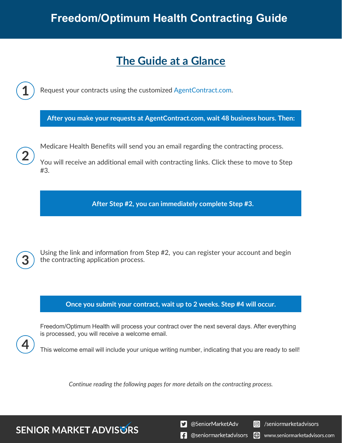# **Freedom/Optimum Health Contracting Guide**

# **The Guide at a Glance**

Request your contracts using the customized [AgentContract.com.](http://agentcontracting.com/)

**After you make your requests at AgentContract.com, wait 48 business hours. Then:**

Medicare Health Benefits will send you an email regarding the contracting process.

You will receive an additional email with contracting links. Click these to move to Step #3.

**After Step #2, you can immediately complete Step #3.** 

**SENIOR MARKET ADVISURS** 

Using the link and information from Step #2, you can register your account and begin the contracting application process.

### **Once you submit your contract, wait up to 2 weeks. Step #4 will occur.**

Freedom/Optimum Health will process your contract over the next several days. After everything is processed, you will receive a welcome email.

This welcome email will include your unique writing number, indicating that you are ready to sell!

*Continue reading the following pages for more details on the contracting process.* 

S @SeniorMarketAdv

Seniormarketadvisors

 $\left| \cdot \right|$  @seniormarketadvisors IHDI www.seniormarketadvisors.com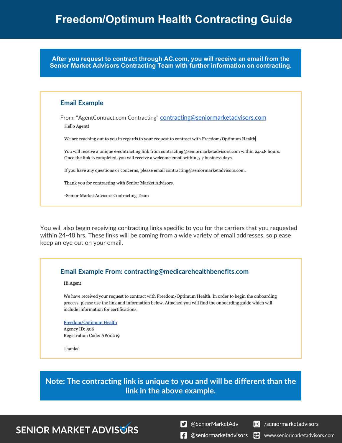# **Freedom/Optimum Health Contracting Guide**

**After you request to contract through AC.com, you will receive an email from the Senior Market Advisors Contracting Team with further information on contracting.**

### **Email Example**

From: "AgentContract.com Contracting" [contracting@seniormarketadvisors.com](mailto:contracting@seniormarketadvisors.com) Hello Agent!

We are reaching out to you in regards to your request to contract with Freedom/Optimum Health.

You will receive a unique e-contracting link from contracting@seniormarketadvisors.com within 24-48 hours. Once the link is completed, you will receive a welcome email within 5-7 business days.

If you have any questions or concerns, please email contracting@seniormarketadvisors.com.

Thank you for contracting with Senior Market Advisors.

-Senior Market Advisors Contracting Team

You will also begin receiving contracting links specific to you for the carriers that you requested within 24-48 hrs. These links will be coming from a wide variety of email addresses, so please keep an eye out on your email.

### **Email Example From: contracting@medicarehealthbenefits.com**

Hi Agent!

We have received your request to contract with Freedom/Optimum Health. In order to begin the onboarding process, please use the link and information below. Attached you will find the onboarding guide which will include information for certifications.

Freedom/Optimum Health Agency ID: 506 Registration Code: AP00019

Thanks!

**Note: The contracting link is unique to you and will be different than the link in the above example.**

## **SENIOR MARKET ADVISURS**

S @SeniorMarketAdv

C /seniormarketadvisors

(.) www.seniormarketadvisors.com

 $\left| \cdot \right|$  @seniormarketadvisors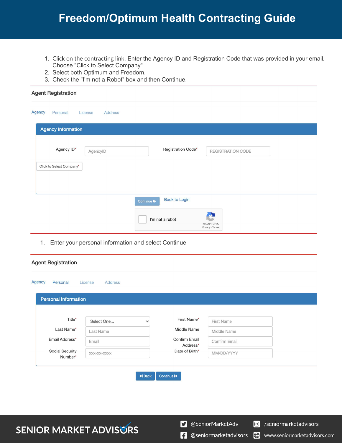# **Freedom/Optimum Health Contracting Guide**

- 1. Click on the contracting link. Enter the Agency ID and Registration Code that was provided in your email. Choose "Click to Select Company".
- 2. Select both Optimum and Freedom.
- 3. Check the "I'm not a Robot" box and then Continue.

| <b>Agent Registration</b>                |                                                      |                                    |
|------------------------------------------|------------------------------------------------------|------------------------------------|
| Agency<br>Address<br>Personal<br>License |                                                      |                                    |
| <b>Agency Information</b>                |                                                      |                                    |
| Agency ID*<br>AgencyID                   | Registration Code*                                   | REGISTRATION CODE                  |
| Click to Select Company*                 |                                                      |                                    |
|                                          |                                                      |                                    |
|                                          | <b>Back to Login</b><br>Continue <sup>&gt;&gt;</sup> |                                    |
|                                          | I'm not a robot                                      | 45<br>reCAPTCHA<br>Privacy - Terms |

1. Enter your personal information and select Continue

| Agency<br>Personal          | <b>Address</b><br>License  |                           |                   |  |  |  |  |
|-----------------------------|----------------------------|---------------------------|-------------------|--|--|--|--|
| <b>Personal Information</b> |                            |                           |                   |  |  |  |  |
| Title*                      | Select One<br>$\checkmark$ | First Name*               | <b>First Name</b> |  |  |  |  |
| Last Name*                  | Last Name                  | Middle Name               | Middle Name       |  |  |  |  |
| Email Address*              | Email                      | Confirm Email<br>Address* | Confirm Email     |  |  |  |  |
| Social Security<br>Number*  | XXX-XX-XXXX                | Date of Birth*            | MM/DD/YYYY        |  |  |  |  |
|                             |                            |                           |                   |  |  |  |  |

## **SENIOR MARKET ADVISURS**

S @SeniorMarketAdv

Seniormarketadvisors

www.seniormarketadvisors.com

**1** @seniormarketadvisors